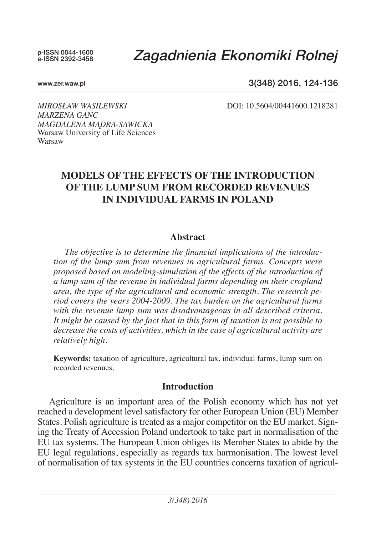p-ISSN 0044-1600 e-ISSN 2392-3458

# *Zagadnienia Ekonomiki Rolnej*

#### www.zer.waw.pl

### 3(348) 2016, 124-136

*Mirosław Wasilewski* DOI: 10.5604/00441600.1218281

*Marzena Ganc Magdalena Mądra-Sawicka*  Warsaw University of Life Sciences Warsaw

## **Models of the effects of the introduction of the lump sum from recorded revenues in INDIVIDUAL farms in poland**

#### **Abstract**

*The objective is to determine the financial implications of the introduction of the lump sum from revenues in agricultural farms. Concepts were proposed based on modeling-simulation of the effects of the introduction of a lump sum of the revenue in individual farms depending on their cropland area, the type of the agricultural and economic strength. The research period covers the years 2004-2009. The tax burden on the agricultural farms with the revenue lump sum was disadvantageous in all described criteria. It might be caused by the fact that in this form of taxation is not possible to decrease the costs of activities, which in the case of agricultural activity are relatively high.*

**Keywords:** taxation of agriculture, agricultural tax, individual farms, lump sum on recorded revenues.

### **Introduction**

Agriculture is an important area of the Polish economy which has not yet reached a development level satisfactory for other European Union (EU) Member States. Polish agriculture is treated as a major competitor on the EU market. Signing the Treaty of Accession Poland undertook to take part in normalisation of the EU tax systems. The European Union obliges its Member States to abide by the EU legal regulations, especially as regards tax harmonisation. The lowest level of normalisation of tax systems in the EU countries concerns taxation of agricul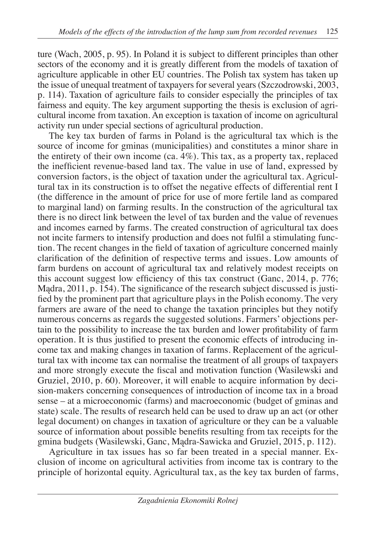ture (Wach, 2005, p. 95). In Poland it is subject to different principles than other sectors of the economy and it is greatly different from the models of taxation of agriculture applicable in other EU countries. The Polish tax system has taken up the issue of unequal treatment of taxpayers for several years (Szczodrowski, 2003, p. 114). Taxation of agriculture fails to consider especially the principles of tax fairness and equity. The key argument supporting the thesis is exclusion of agricultural income from taxation. An exception is taxation of income on agricultural activity run under special sections of agricultural production.

The key tax burden of farms in Poland is the agricultural tax which is the source of income for gminas (municipalities) and constitutes a minor share in the entirety of their own income  $(ca. 4\%)$ . This tax, as a property tax, replaced the inefficient revenue-based land tax. The value in use of land, expressed by conversion factors, is the object of taxation under the agricultural tax. Agricultural tax in its construction is to offset the negative effects of differential rent I (the difference in the amount of price for use of more fertile land as compared to marginal land) on farming results. In the construction of the agricultural tax there is no direct link between the level of tax burden and the value of revenues and incomes earned by farms. The created construction of agricultural tax does not incite farmers to intensify production and does not fulfil a stimulating function. The recent changes in the field of taxation of agriculture concerned mainly clarification of the definition of respective terms and issues. Low amounts of farm burdens on account of agricultural tax and relatively modest receipts on this account suggest low efficiency of this tax construct (Ganc, 2014, p. 776; Mądra, 2011, p. 154). The significance of the research subject discussed is justified by the prominent part that agriculture plays in the Polish economy. The very farmers are aware of the need to change the taxation principles but they notify numerous concerns as regards the suggested solutions. Farmers' objections pertain to the possibility to increase the tax burden and lower profitability of farm operation. It is thus justified to present the economic effects of introducing income tax and making changes in taxation of farms. Replacement of the agricultural tax with income tax can normalise the treatment of all groups of taxpayers and more strongly execute the fiscal and motivation function (Wasilewski and Gruziel, 2010, p. 60). Moreover, it will enable to acquire information by decision-makers concerning consequences of introduction of income tax in a broad sense – at a microeconomic (farms) and macroeconomic (budget of gminas and state) scale. The results of research held can be used to draw up an act (or other legal document) on changes in taxation of agriculture or they can be a valuable source of information about possible benefits resulting from tax receipts for the gmina budgets (Wasilewski, Ganc, Mądra-Sawicka and Gruziel, 2015, p. 112).

Agriculture in tax issues has so far been treated in a special manner. Exclusion of income on agricultural activities from income tax is contrary to the principle of horizontal equity. Agricultural tax, as the key tax burden of farms,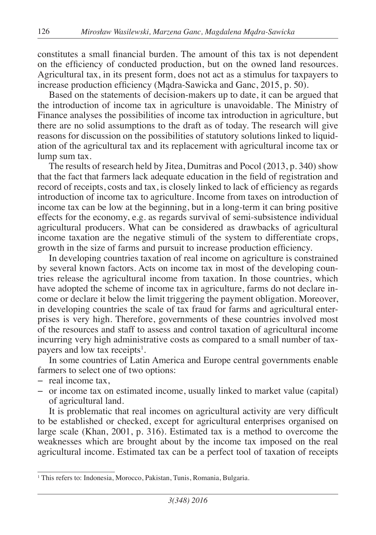constitutes a small financial burden. The amount of this tax is not dependent on the efficiency of conducted production, but on the owned land resources. Agricultural tax, in its present form, does not act as a stimulus for taxpayers to increase production efficiency (Mądra-Sawicka and Ganc, 2015, p. 50).

Based on the statements of decision-makers up to date, it can be argued that the introduction of income tax in agriculture is unavoidable. The Ministry of Finance analyses the possibilities of income tax introduction in agriculture, but there are no solid assumptions to the draft as of today. The research will give reasons for discussion on the possibilities of statutory solutions linked to liquidation of the agricultural tax and its replacement with agricultural income tax or lump sum tax.

The results of research held by Jitea, Dumitras and Pocol (2013, p. 340) show that the fact that farmers lack adequate education in the field of registration and record of receipts, costs and tax, is closely linked to lack of efficiency as regards introduction of income tax to agriculture. Income from taxes on introduction of income tax can be low at the beginning, but in a long-term it can bring positive effects for the economy, e.g. as regards survival of semi-subsistence individual agricultural producers. What can be considered as drawbacks of agricultural income taxation are the negative stimuli of the system to differentiate crops, growth in the size of farms and pursuit to increase production efficiency.

In developing countries taxation of real income on agriculture is constrained by several known factors. Acts on income tax in most of the developing countries release the agricultural income from taxation. In those countries, which have adopted the scheme of income tax in agriculture, farms do not declare income or declare it below the limit triggering the payment obligation. Moreover, in developing countries the scale of tax fraud for farms and agricultural enterprises is very high. Therefore, governments of these countries involved most of the resources and staff to assess and control taxation of agricultural income incurring very high administrative costs as compared to a small number of taxpayers and low tax receipts<sup>1</sup>.

In some countries of Latin America and Europe central governments enable farmers to select one of two options:

- − real income tax,
- − or income tax on estimated income, usually linked to market value (capital) of agricultural land.

It is problematic that real incomes on agricultural activity are very difficult to be established or checked, except for agricultural enterprises organised on large scale (Khan, 2001, p. 316). Estimated tax is a method to overcome the weaknesses which are brought about by the income tax imposed on the real agricultural income. Estimated tax can be a perfect tool of taxation of receipts

<sup>&</sup>lt;sup>1</sup> This refers to: Indonesia, Morocco, Pakistan, Tunis, Romania, Bulgaria.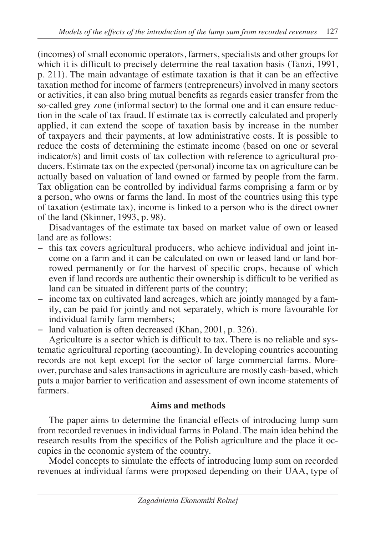(incomes) of small economic operators, farmers, specialists and other groups for which it is difficult to precisely determine the real taxation basis (Tanzi, 1991, p. 211). The main advantage of estimate taxation is that it can be an effective taxation method for income of farmers (entrepreneurs) involved in many sectors or activities, it can also bring mutual benefits as regards easier transfer from the so-called grey zone (informal sector) to the formal one and it can ensure reduction in the scale of tax fraud. If estimate tax is correctly calculated and properly applied, it can extend the scope of taxation basis by increase in the number of taxpayers and their payments, at low administrative costs. It is possible to reduce the costs of determining the estimate income (based on one or several indicator/s) and limit costs of tax collection with reference to agricultural producers. Estimate tax on the expected (personal) income tax on agriculture can be actually based on valuation of land owned or farmed by people from the farm. Tax obligation can be controlled by individual farms comprising a farm or by a person, who owns or farms the land. In most of the countries using this type of taxation (estimate tax), income is linked to a person who is the direct owner of the land (Skinner, 1993, p. 98).

Disadvantages of the estimate tax based on market value of own or leased land are as follows:

- − this tax covers agricultural producers, who achieve individual and joint income on a farm and it can be calculated on own or leased land or land borrowed permanently or for the harvest of specific crops, because of which even if land records are authentic their ownership is difficult to be verified as land can be situated in different parts of the country;
- − income tax on cultivated land acreages, which are jointly managed by a family, can be paid for jointly and not separately, which is more favourable for individual family farm members;
- − land valuation is often decreased (Khan, 2001, p. 326).

Agriculture is a sector which is difficult to tax. There is no reliable and systematic agricultural reporting (accounting). In developing countries accounting records are not kept except for the sector of large commercial farms. Moreover, purchase and sales transactions in agriculture are mostly cash-based, which puts a major barrier to verification and assessment of own income statements of farmers.

## **Aims and methods**

The paper aims to determine the financial effects of introducing lump sum from recorded revenues in individual farms in Poland. The main idea behind the research results from the specifics of the Polish agriculture and the place it occupies in the economic system of the country.

Model concepts to simulate the effects of introducing lump sum on recorded revenues at individual farms were proposed depending on their UAA, type of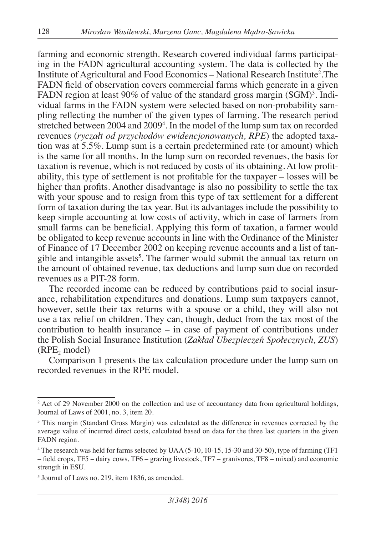farming and economic strength. Research covered individual farms participating in the FADN agricultural accounting system. The data is collected by the Institute of Agricultural and Food Economics – National Research Institute<sup>2</sup>.The FADN field of observation covers commercial farms which generate in a given FADN region at least 90% of value of the standard gross margin  $(SGM)^3$ . Individual farms in the FADN system were selected based on non-probability sampling reflecting the number of the given types of farming. The research period stretched between 2004 and 20094 . In the model of the lump sum tax on recorded revenues (*ryczałt od przychodów ewidencjonowanych, RPE*) the adopted taxation was at 5.5%. Lump sum is a certain predetermined rate (or amount) which is the same for all months. In the lump sum on recorded revenues, the basis for taxation is revenue, which is not reduced by costs of its obtaining. At low profitability, this type of settlement is not profitable for the taxpayer – losses will be higher than profits. Another disadvantage is also no possibility to settle the tax with your spouse and to resign from this type of tax settlement for a different form of taxation during the tax year. But its advantages include the possibility to keep simple accounting at low costs of activity, which in case of farmers from small farms can be beneficial. Applying this form of taxation, a farmer would be obligated to keep revenue accounts in line with the Ordinance of the Minister of Finance of 17 December 2002 on keeping revenue accounts and a list of tangible and intangible assets<sup>5</sup>. The farmer would submit the annual tax return on the amount of obtained revenue, tax deductions and lump sum due on recorded revenues as a PIT-28 form.

The recorded income can be reduced by contributions paid to social insurance, rehabilitation expenditures and donations. Lump sum taxpayers cannot, however, settle their tax returns with a spouse or a child, they will also not use a tax relief on children. They can, though, deduct from the tax most of the contribution to health insurance – in case of payment of contributions under the Polish Social Insurance Institution (*Zakład Ubezpieczeń Społecznych, ZUS*)  $(RPE, model)$ 

Comparison 1 presents the tax calculation procedure under the lump sum on recorded revenues in the RPE model.

<sup>&</sup>lt;sup>2</sup> Act of 29 November 2000 on the collection and use of accountancy data from agricultural holdings, Journal of Laws of 2001, no. 3, item 20.

<sup>&</sup>lt;sup>3</sup> This margin (Standard Gross Margin) was calculated as the difference in revenues corrected by the average value of incurred direct costs, calculated based on data for the three last quarters in the given FADN region.

<sup>4</sup> The research was held for farms selected by UAA (5-10, 10-15, 15-30 and 30-50), type of farming (TF1 – field crops, TF5 – dairy cows, TF6 – grazing livestock, TF7 – granivores, TF8 – mixed) and economic strength in ESU.

<sup>5</sup> Journal of Laws no. 219, item 1836, as amended.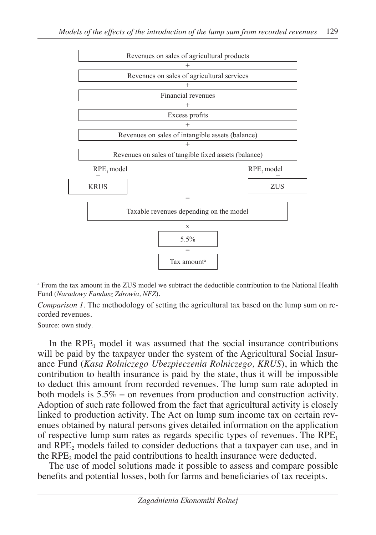

a From the tax amount in the ZUS model we subtract the deductible contribution to the National Health Fund (*Naradowy Fundusz Zdrowia, NFZ*).

*Comparison 1*. The methodology of setting the agricultural tax based on the lump sum on recorded revenues.

Source: own study.

In the  $RPE<sub>1</sub>$  model it was assumed that the social insurance contributions will be paid by the taxpayer under the system of the Agricultural Social Insurance Fund (*Kasa Rolniczego Ubezpieczenia Rolniczego, KRUS*), in which the contribution to health insurance is paid by the state, thus it will be impossible to deduct this amount from recorded revenues. The lump sum rate adopted in both models is 5.5% − on revenues from production and construction activity. Adoption of such rate followed from the fact that agricultural activity is closely linked to production activity. The Act on lump sum income tax on certain revenues obtained by natural persons gives detailed information on the application of respective lump sum rates as regards specific types of revenues. The  $RPE<sub>1</sub>$ and  $RPE<sub>2</sub>$  models failed to consider deductions that a taxpayer can use, and in the  $RPE<sub>2</sub>$  model the paid contributions to health insurance were deducted.

The use of model solutions made it possible to assess and compare possible benefits and potential losses, both for farms and beneficiaries of tax receipts.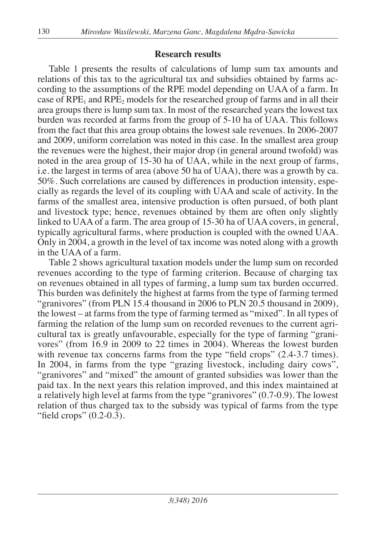### **Research results**

Table 1 presents the results of calculations of lump sum tax amounts and relations of this tax to the agricultural tax and subsidies obtained by farms according to the assumptions of the RPE model depending on UAA of a farm. In case of  $RPE<sub>1</sub>$  and  $RPE<sub>2</sub>$  models for the researched group of farms and in all their area groups there is lump sum tax. In most of the researched years the lowest tax burden was recorded at farms from the group of 5-10 ha of UAA. This follows from the fact that this area group obtains the lowest sale revenues. In 2006-2007 and 2009, uniform correlation was noted in this case. In the smallest area group the revenues were the highest, their major drop (in general around twofold) was noted in the area group of 15-30 ha of UAA, while in the next group of farms, i.e. the largest in terms of area (above 50 ha of UAA), there was a growth by ca. 50%. Such correlations are caused by differences in production intensity, especially as regards the level of its coupling with UAA and scale of activity. In the farms of the smallest area, intensive production is often pursued, of both plant and livestock type; hence, revenues obtained by them are often only slightly linked to UAA of a farm. The area group of 15-30 ha of UAA covers, in general, typically agricultural farms, where production is coupled with the owned UAA. Only in 2004, a growth in the level of tax income was noted along with a growth in the UAA of a farm.

Table 2 shows agricultural taxation models under the lump sum on recorded revenues according to the type of farming criterion. Because of charging tax on revenues obtained in all types of farming, a lump sum tax burden occurred. This burden was definitely the highest at farms from the type of farming termed "granivores" (from PLN 15.4 thousand in 2006 to PLN 20.5 thousand in 2009), the lowest – at farms from the type of farming termed as "mixed". In all types of farming the relation of the lump sum on recorded revenues to the current agricultural tax is greatly unfavourable, especially for the type of farming "granivores" (from 16.9 in 2009 to 22 times in 2004). Whereas the lowest burden with revenue tax concerns farms from the type "field crops" (2.4-3.7 times). In 2004, in farms from the type "grazing livestock, including dairy cows", "granivores" and "mixed" the amount of granted subsidies was lower than the paid tax. In the next years this relation improved, and this index maintained at a relatively high level at farms from the type "granivores" (0.7-0.9). The lowest relation of thus charged tax to the subsidy was typical of farms from the type "field crops" (0.2-0.3).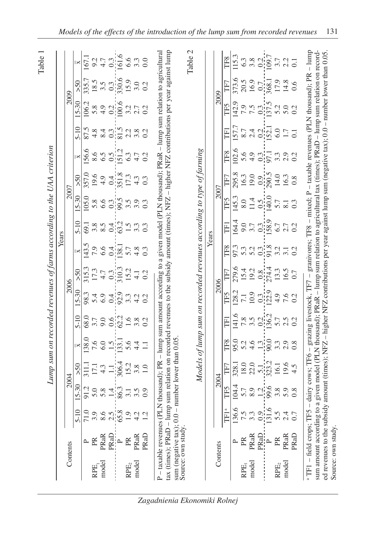|             |                                                                                                                                                  |                                           |                     |                                                                 | Lump sum on recorded revenues of farms according to the UAA criterion                                              |                                                                       |                                      |                                                                     |                         |                            |                                              |                                                                                                                         |              |                                                                                                                                                                               |           |                                                                                                                                                     | Table 1                                                                |
|-------------|--------------------------------------------------------------------------------------------------------------------------------------------------|-------------------------------------------|---------------------|-----------------------------------------------------------------|--------------------------------------------------------------------------------------------------------------------|-----------------------------------------------------------------------|--------------------------------------|---------------------------------------------------------------------|-------------------------|----------------------------|----------------------------------------------|-------------------------------------------------------------------------------------------------------------------------|--------------|-------------------------------------------------------------------------------------------------------------------------------------------------------------------------------|-----------|-----------------------------------------------------------------------------------------------------------------------------------------------------|------------------------------------------------------------------------|
|             |                                                                                                                                                  |                                           |                     |                                                                 |                                                                                                                    |                                                                       |                                      |                                                                     |                         | Years                      |                                              |                                                                                                                         |              |                                                                                                                                                                               |           |                                                                                                                                                     |                                                                        |
|             | Contents                                                                                                                                         |                                           |                     | 2004                                                            |                                                                                                                    |                                                                       |                                      | 2006                                                                |                         |                            |                                              | 2007                                                                                                                    |              |                                                                                                                                                                               |           | 2009                                                                                                                                                |                                                                        |
|             |                                                                                                                                                  | $5 - 10$                                  | $15 - 30$           | 50 <sub>2</sub>                                                 | $\overline{\mathbf{X}}$                                                                                            | $5 - 10$                                                              | 15-30                                | 50                                                                  | $\overline{\mathbf{X}}$ | $5 - 10$                   | $15 - 30$                                    | 50 <sub>z</sub>                                                                                                         |              | $5 - 10$                                                                                                                                                                      | $15 - 30$ | >50                                                                                                                                                 | $\overline{\mathbf{K}}$                                                |
|             |                                                                                                                                                  | 71.0                                      | 91.2                |                                                                 | 138.0                                                                                                              | 68.0                                                                  | 98.3                                 | 315.3                                                               | 143.5                   | $-69.1$                    | 105.0                                        | 357.0                                                                                                                   | 156.6        |                                                                                                                                                                               | 106.2     | 335.7                                                                                                                                               | 167.1                                                                  |
| <b>RPE</b>  | PR                                                                                                                                               |                                           | 5.0                 |                                                                 |                                                                                                                    |                                                                       |                                      |                                                                     |                         |                            |                                              |                                                                                                                         |              | 4.8                                                                                                                                                                           |           |                                                                                                                                                     |                                                                        |
| model       | PRaR                                                                                                                                             |                                           |                     |                                                                 |                                                                                                                    |                                                                       |                                      |                                                                     |                         |                            |                                              |                                                                                                                         |              | 8.4                                                                                                                                                                           |           |                                                                                                                                                     |                                                                        |
|             | PRaD                                                                                                                                             | a s s nis<br>a s nis                      | $5.4^{+0.3}_{-0.3}$ | 311.1<br>17.1<br>4.3<br>4.1.1.1.2.2<br>5.2<br>5.2<br>5.0<br>1.0 | $769$ $-137$ $-12$<br>$-12$ $-12$<br>$-12$<br>$-12$<br>$-12$<br>$-1$<br>$-1$                                       | $7.99124922$<br>$9.9124922$                                           | 5 9 9 9 9 9 9 9 9<br>5 9 9 9 9 9 9 9 | $17.3$<br>$4.7$<br>$9.3$<br>$17.3$<br>$14.1$<br>$15.2$<br>$15.2$    | 7.9<br>6.6 di<br>138.1  | 38.54121523                |                                              | $9.9$<br>$9.4$<br>$9.4$<br>$1.8$<br>$1.3$<br>$1.3$<br>$1.3$<br>$1.3$                                                    |              | $\frac{0.3}{80}$ 2.28                                                                                                                                                         |           | $\frac{185}{350000}$<br>$\frac{35}{3000}$<br>$\frac{35}{300}$<br>$\frac{35}{300}$<br>$\frac{35}{300}$                                               | $\begin{array}{ccc}\n0 & 4 & 0 \\ 0 & 0 & 0 \\ 0 & 0 & 0\n\end{array}$ |
|             | $\sim$                                                                                                                                           |                                           |                     |                                                                 |                                                                                                                    |                                                                       |                                      |                                                                     |                         |                            |                                              |                                                                                                                         |              |                                                                                                                                                                               |           |                                                                                                                                                     |                                                                        |
| RPE,        | PR                                                                                                                                               | 1.9                                       |                     |                                                                 |                                                                                                                    |                                                                       |                                      |                                                                     | $5.\overline{7}$<br>4.8 |                            |                                              |                                                                                                                         |              |                                                                                                                                                                               |           |                                                                                                                                                     |                                                                        |
| model       | PRaR                                                                                                                                             | $\begin{array}{c} 4.2 \\ 1.2 \end{array}$ | 3.5                 |                                                                 |                                                                                                                    |                                                                       |                                      |                                                                     |                         |                            |                                              |                                                                                                                         |              |                                                                                                                                                                               |           |                                                                                                                                                     |                                                                        |
|             | PRaD                                                                                                                                             |                                           | 0.9                 |                                                                 |                                                                                                                    |                                                                       |                                      |                                                                     | $0.\overline{3}$        | 0.3                        |                                              |                                                                                                                         |              | 0.2                                                                                                                                                                           |           |                                                                                                                                                     |                                                                        |
|             | P – taxable revenues (PLN thousand); PR – lump sum amount according to a given model (PLN thousand); PRaR – lump sum relation to agricultural    |                                           |                     |                                                                 |                                                                                                                    |                                                                       |                                      |                                                                     |                         |                            |                                              |                                                                                                                         |              |                                                                                                                                                                               |           |                                                                                                                                                     |                                                                        |
|             | tax (times); PRaD – lump sum relation on recorded revenues to the subsidy amount (times); NFZ – higher NFZ contributions per year against lump   |                                           |                     |                                                                 |                                                                                                                    |                                                                       |                                      |                                                                     |                         |                            |                                              |                                                                                                                         |              |                                                                                                                                                                               |           |                                                                                                                                                     |                                                                        |
|             | sum (negative tax); $0.0$ – number lower than 0.05<br>Source: own study                                                                          |                                           |                     |                                                                 |                                                                                                                    |                                                                       |                                      |                                                                     |                         |                            |                                              |                                                                                                                         |              |                                                                                                                                                                               |           |                                                                                                                                                     |                                                                        |
|             |                                                                                                                                                  |                                           |                     |                                                                 |                                                                                                                    |                                                                       |                                      |                                                                     |                         |                            |                                              |                                                                                                                         |              |                                                                                                                                                                               |           |                                                                                                                                                     | Table 2                                                                |
|             |                                                                                                                                                  |                                           |                     |                                                                 | Models of lump sum on recorded revenues according to type of farming                                               |                                                                       |                                      |                                                                     |                         |                            |                                              |                                                                                                                         |              |                                                                                                                                                                               |           |                                                                                                                                                     |                                                                        |
|             |                                                                                                                                                  |                                           |                     |                                                                 |                                                                                                                    |                                                                       |                                      |                                                                     |                         | Years                      |                                              |                                                                                                                         |              |                                                                                                                                                                               |           |                                                                                                                                                     |                                                                        |
|             | Contents                                                                                                                                         |                                           |                     | 2004                                                            |                                                                                                                    |                                                                       |                                      | 2006                                                                |                         |                            |                                              | 2007                                                                                                                    |              |                                                                                                                                                                               |           | 2009                                                                                                                                                |                                                                        |
|             |                                                                                                                                                  | TF1 <sup>ª</sup>                          | TF5                 | TF7                                                             | TF8                                                                                                                | Ë                                                                     | TF5                                  | TF7                                                                 | TF8                     | Ē                          | TF5                                          | TF7                                                                                                                     | TF8          | Ē                                                                                                                                                                             | TF5       | TF7                                                                                                                                                 | TF8                                                                    |
|             | $\sim$                                                                                                                                           | 136.6                                     | 104.4               | 328.1                                                           | 95.0                                                                                                               |                                                                       | 128.2                                |                                                                     |                         | 164.4                      | 145.3                                        | 295.8                                                                                                                   | 102.6        | 157.7                                                                                                                                                                         | 142.9     | 373.6                                                                                                                                               | 115.3                                                                  |
| RPE,        | PR                                                                                                                                               | $\frac{15}{33}$                           |                     | $18.0$<br>22.0                                                  |                                                                                                                    |                                                                       | $\overline{7.1}$                     |                                                                     |                         |                            | $8.0$<br>$1.5$<br>$-1.5$<br>$-1.0$<br>$-1.0$ |                                                                                                                         |              |                                                                                                                                                                               |           |                                                                                                                                                     |                                                                        |
| model       | <b>PRaR</b>                                                                                                                                      |                                           |                     |                                                                 |                                                                                                                    |                                                                       |                                      |                                                                     |                         |                            |                                              |                                                                                                                         |              |                                                                                                                                                                               |           |                                                                                                                                                     |                                                                        |
|             | PRaD                                                                                                                                             | $\frac{0.9}{131.6}$                       |                     |                                                                 |                                                                                                                    |                                                                       | $\frac{10.9}{0.3}$                   |                                                                     |                         |                            |                                              |                                                                                                                         |              |                                                                                                                                                                               |           |                                                                                                                                                     |                                                                        |
|             | $\sim$                                                                                                                                           |                                           | 5.9 216 3.8         | $\frac{5.1}{323.2}$                                             | 54.99939                                                                                                           | 141.6<br>$\frac{8}{7}$ ,8<br>$\frac{3}{136}$ ,7<br>$\frac{3}{136}$ ,7 |                                      | $279.6$<br>$15.4$<br>$19.2$<br>$0.8$<br>$274.4$<br>$13.3$<br>$16.5$ |                         | 9.0<br>3.7<br>0.3.1<br>6.7 |                                              | $\begin{array}{c}\n 16.3 \\  19.0 \\  \hline\n 0.9 \\  \hline\n 290.5 \\  14.0 \\  \hline\n 16.3 \\  0.8\n \end{array}$ | 5.9997733    | $8.7$ $\frac{1}{2}$ $\frac{1}{2}$ $\frac{1}{2}$ $\frac{1}{2}$ $\frac{1}{2}$ $\frac{1}{2}$ $\frac{1}{2}$ $\frac{1}{2}$ $\frac{1}{2}$ $\frac{1}{2}$ $\frac{1}{2}$ $\frac{1}{2}$ |           | $\begin{array}{c}\n 20.5 \\  \hline\n 16.9 \\  \hline\n 10.7 \\  \hline\n 368.1 \\  \hline\n 17.9 \\  \hline\n 14.8 \\  \hline\n 0.6\n \end{array}$ | $638017777101$                                                         |
| $\rm RPE_2$ | PR                                                                                                                                               | 5.5                                       |                     |                                                                 |                                                                                                                    |                                                                       |                                      |                                                                     |                         |                            | 5.7                                          |                                                                                                                         |              |                                                                                                                                                                               |           |                                                                                                                                                     |                                                                        |
| model       | <b>PRaR</b>                                                                                                                                      | 2.4                                       | 5.9                 | $19.6$<br>4.5                                                   | 2.9                                                                                                                | $2.5$<br>0.2                                                          | $\frac{400}{760}$                    |                                                                     | 3.1                     | $2.7$<br>0.2               | $\frac{1}{8.3}$                              |                                                                                                                         | $2.9$<br>0.2 |                                                                                                                                                                               |           |                                                                                                                                                     |                                                                        |
|             | PRaD                                                                                                                                             | 0.7                                       | 0.8                 |                                                                 | 0.8                                                                                                                |                                                                       |                                      | 0.7                                                                 |                         |                            |                                              |                                                                                                                         |              |                                                                                                                                                                               |           |                                                                                                                                                     |                                                                        |
|             | a TF1 - field crops; TF5                                                                                                                         |                                           | $\mathsf I$         |                                                                 | dairy cows; TF6 - grazing livestock, TF7 - granivores; TF8 - mixed; P - taxable revenues (PLN thousand); PR - lump |                                                                       |                                      |                                                                     |                         |                            |                                              |                                                                                                                         |              |                                                                                                                                                                               |           |                                                                                                                                                     |                                                                        |
|             | sum amount according to a given model (PLN thousand); PRaR – lump sum relation to agricultural tax (times); PRaD – lump sum relation on record-  |                                           |                     |                                                                 |                                                                                                                    |                                                                       |                                      |                                                                     |                         |                            |                                              |                                                                                                                         |              |                                                                                                                                                                               |           |                                                                                                                                                     |                                                                        |
|             | ed revenues to the subsidy amount (times); NFZ – higher NFZ contributions per year against lump sum (negative tax); 0.0 – number lower than 0.05 |                                           |                     |                                                                 |                                                                                                                    |                                                                       |                                      |                                                                     |                         |                            |                                              |                                                                                                                         |              |                                                                                                                                                                               |           |                                                                                                                                                     |                                                                        |
|             | Source: own study.                                                                                                                               |                                           |                     |                                                                 |                                                                                                                    |                                                                       |                                      |                                                                     |                         |                            |                                              |                                                                                                                         |              |                                                                                                                                                                               |           |                                                                                                                                                     |                                                                        |

*Zagadnienia Ekonomiki Rolnej*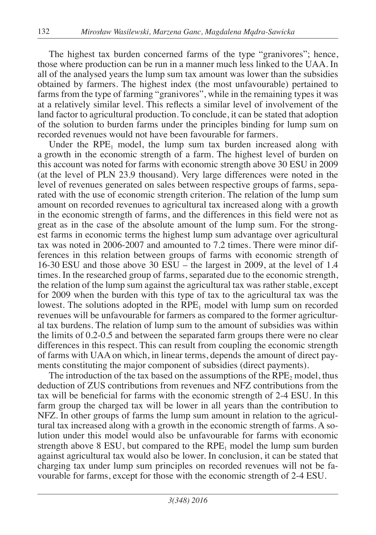The highest tax burden concerned farms of the type "granivores"; hence, those where production can be run in a manner much less linked to the UAA. In all of the analysed years the lump sum tax amount was lower than the subsidies obtained by farmers. The highest index (the most unfavourable) pertained to farms from the type of farming "granivores", while in the remaining types it was at a relatively similar level. This reflects a similar level of involvement of the land factor to agricultural production. To conclude, it can be stated that adoption of the solution to burden farms under the principles binding for lump sum on recorded revenues would not have been favourable for farmers.

Under the  $RPE<sub>1</sub>$  model, the lump sum tax burden increased along with a growth in the economic strength of a farm. The highest level of burden on this account was noted for farms with economic strength above 30 ESU in 2009 (at the level of PLN 23.9 thousand). Very large differences were noted in the level of revenues generated on sales between respective groups of farms, separated with the use of economic strength criterion. The relation of the lump sum amount on recorded revenues to agricultural tax increased along with a growth in the economic strength of farms, and the differences in this field were not as great as in the case of the absolute amount of the lump sum. For the strongest farms in economic terms the highest lump sum advantage over agricultural tax was noted in 2006-2007 and amounted to 7.2 times. There were minor differences in this relation between groups of farms with economic strength of 16-30 ESU and those above 30 ESU – the largest in 2009, at the level of 1.4 times. In the researched group of farms, separated due to the economic strength, the relation of the lump sum against the agricultural tax was rather stable, except for 2009 when the burden with this type of tax to the agricultural tax was the lowest. The solutions adopted in the  $RPE<sub>1</sub>$  model with lump sum on recorded revenues will be unfavourable for farmers as compared to the former agricultural tax burdens. The relation of lump sum to the amount of subsidies was within the limits of 0.2-0.5 and between the separated farm groups there were no clear differences in this respect. This can result from coupling the economic strength of farms with UAA on which, in linear terms, depends the amount of direct payments constituting the major component of subsidies (direct payments).

The introduction of the tax based on the assumptions of the  $RPE<sub>2</sub>$  model, thus deduction of ZUS contributions from revenues and NFZ contributions from the tax will be beneficial for farms with the economic strength of 2-4 ESU. In this farm group the charged tax will be lower in all years than the contribution to NFZ. In other groups of farms the lump sum amount in relation to the agricultural tax increased along with a growth in the economic strength of farms. A solution under this model would also be unfavourable for farms with economic strength above  $8$  ESU, but compared to the RPE<sub>1</sub> model the lump sum burden against agricultural tax would also be lower. In conclusion, it can be stated that charging tax under lump sum principles on recorded revenues will not be favourable for farms, except for those with the economic strength of 2-4 ESU.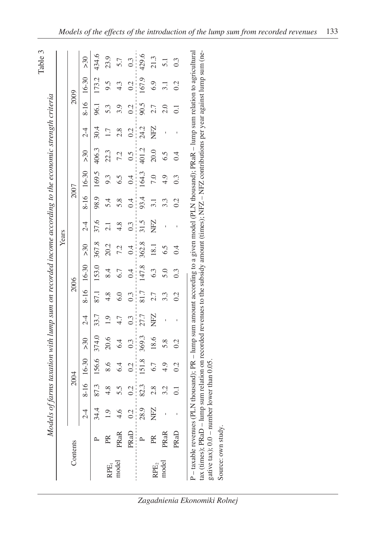|                                                             |                                                                                                                                               |               |                                                                                                                               |                  |                 |                |      |            |       | Years            |      |                  |                   |                |                  |            |                 |
|-------------------------------------------------------------|-----------------------------------------------------------------------------------------------------------------------------------------------|---------------|-------------------------------------------------------------------------------------------------------------------------------|------------------|-----------------|----------------|------|------------|-------|------------------|------|------------------|-------------------|----------------|------------------|------------|-----------------|
|                                                             | Contents                                                                                                                                      |               |                                                                                                                               | 2004             |                 |                |      | 2006       |       |                  |      | 2007             |                   |                |                  | 2009       |                 |
|                                                             |                                                                                                                                               | $\frac{1}{2}$ |                                                                                                                               | 8-16 16-30       | 50 <sub>2</sub> | $\overline{C}$ |      | 8-16 16-30 | >30   | $\overline{C}$   |      | 8-16 16-30       | >30               | 2 <sup>4</sup> |                  | 8-16 16-30 | 50 <sub>5</sub> |
|                                                             |                                                                                                                                               | 34.4          | 87.3                                                                                                                          |                  | 156.6 374.0     | 33.7           | 87.1 | 153.0      | 367.8 | 37.6             | 98.9 | 169.5            | 406.3             | 30.4           | 96.1             | 173.2      | 434.6           |
| RPE,                                                        | $\mathbb{R}$                                                                                                                                  | 0.1           |                                                                                                                               | $8.6\phantom{1}$ | 20.6            | $\overline{0}$ | 4.8  | 8.4        | 20.2  | 2.1              | 54   | 9.3              | 22.3              |                | 5.3              | 9.5        | 23.9            |
| model                                                       | PRaR                                                                                                                                          | 4.6           |                                                                                                                               | 6.4              | 6.4             | 4.7            | 6.0  | 6.7        | 7.2   | $\frac{8}{4}$    | 5.8  | 6.5              | 7.2               | 2.8            | 3.9              | 4.3        |                 |
|                                                             | PRaD                                                                                                                                          | 0.2           | 0.2                                                                                                                           | 0.2              | 0.3             | 0.3            | 0.3  | 0.4        | 0.4   | $0.\overline{3}$ | 0.4  | 0.4              | $\widetilde{0}$ . | 0.2            | 0.2              | 0.2        |                 |
|                                                             |                                                                                                                                               | 28.9          | 82.3                                                                                                                          | 151.8            | 369.3           | 27.7           | 81.7 | 147.8      | 362.8 | 31.5             | 93.4 | 164.3            | 401.2             | 24.2           | 90.5             | 167.9      | 429.6           |
| RPE <sub>2</sub>                                            | PR                                                                                                                                            | NFZ           | 2.8                                                                                                                           | 6.7              | 18.6            | NFZ            | 2.7  | 6.3        | 18.1  | NFZ              | 3.1  | 7.0              | 20.0              | NFZ            | 2.7              | 6.9        | 21.3            |
| model                                                       | <b>PRaR</b>                                                                                                                                   |               | 3.2                                                                                                                           | $\frac{4}{9}$    | 5.8             |                | 3.3  | 5.0        | 6.5   |                  | 3.3  | 4.9              | 6.5               |                | $\frac{0}{2}$    | 3.1        |                 |
|                                                             | PRaD                                                                                                                                          |               | $\overline{0}$ .                                                                                                              | 0.2              | 0.2             |                | 0.2  | 0.3        | 0.4   |                  | 0.2  | $0.\overline{3}$ | $\ddot{0}$        |                | $\overline{0}$ . | 0.2        | 0.3             |
| $\tan$ (times); $\text{P}\text{Ra}\text{D}$ – $\text{lump}$ | P – taxable revenues (PLN thousand); PR – lump sum amount according to a given model (PLN thousand); PRaR – lump sum relation to agricultural |               | sum relation on recorded revenues to the subsidy amount (times); $N$ FZ – $N$ FZ contributions per year against lump sum (ne- |                  |                 |                |      |            |       |                  |      |                  |                   |                |                  |            |                 |

gative tax); 0.0 – number lower than 0.05.<br>Source: own study. gative tax);  $0.0 -$  number lower than 0.05. Source: own study.

*Zagadnienia Ekonomiki Rolnej*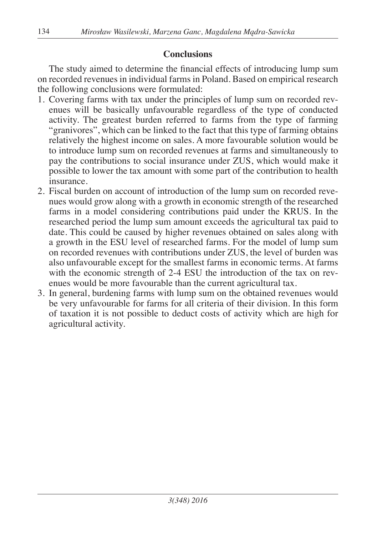## **Conclusions**

The study aimed to determine the financial effects of introducing lump sum on recorded revenues in individual farms in Poland. Based on empirical research the following conclusions were formulated:

- 1. Covering farms with tax under the principles of lump sum on recorded revenues will be basically unfavourable regardless of the type of conducted activity. The greatest burden referred to farms from the type of farming "granivores", which can be linked to the fact that this type of farming obtains relatively the highest income on sales. A more favourable solution would be to introduce lump sum on recorded revenues at farms and simultaneously to pay the contributions to social insurance under ZUS, which would make it possible to lower the tax amount with some part of the contribution to health insurance.
- 2. Fiscal burden on account of introduction of the lump sum on recorded revenues would grow along with a growth in economic strength of the researched farms in a model considering contributions paid under the KRUS. In the researched period the lump sum amount exceeds the agricultural tax paid to date. This could be caused by higher revenues obtained on sales along with a growth in the ESU level of researched farms. For the model of lump sum on recorded revenues with contributions under ZUS, the level of burden was also unfavourable except for the smallest farms in economic terms. At farms with the economic strength of 2-4 ESU the introduction of the tax on revenues would be more favourable than the current agricultural tax.
- 3. In general, burdening farms with lump sum on the obtained revenues would be very unfavourable for farms for all criteria of their division. In this form of taxation it is not possible to deduct costs of activity which are high for agricultural activity.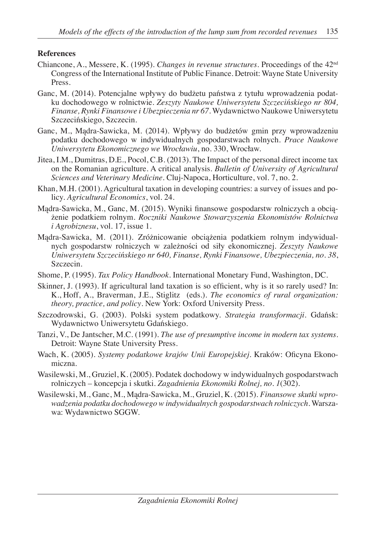#### **References**

- Chiancone, A., Messere, K. (1995). *Changes in revenue structures*. Proceedings of the 42nd Congress of the International Institute of Public Finance. Detroit: Wayne State University Press.
- Ganc, M. (2014). Potencjalne wpływy do budżetu państwa z tytułu wprowadzenia podatku dochodowego w rolnictwie. *Zeszyty Naukowe Uniwersytetu Szczecińskiego nr 804, Finanse, Rynki Finansowe i Ubezpieczenia nr 67*. Wydawnictwo Naukowe Uniwersytetu Szczecińskiego, Szczecin.
- Ganc, M., Mądra-Sawicka, M. (2014). Wpływy do budżetów gmin przy wprowadzeniu podatku dochodowego w indywidualnych gospodarstwach rolnych. *Prace Naukowe Uniwersytetu Ekonomicznego we Wrocławiu*, no. 330, Wrocław.
- Jitea, I.M., Dumitras, D.E., Pocol, C.B. (2013). The Impact of the personal direct income tax on the Romanian agriculture. A critical analysis. *Bulletin of University of Agricultural Sciences and Veterinary Medicine*. Cluj-Napoca, Horticulture, vol. 7, no. 2.
- Khan, M.H. (2001). Agricultural taxation in developing countries: a survey of issues and policy. *Agricultural Economics*, vol. 24.
- Mądra-Sawicka, M., Ganc, M. (2015). Wyniki finansowe gospodarstw rolniczych a obciążenie podatkiem rolnym. *Roczniki Naukowe Stowarzyszenia Ekonomistów Rolnictwa i Agrobiznesu*, vol. 17, issue 1.
- Mądra-Sawicka, M. (2011). Zróżnicowanie obciążenia podatkiem rolnym indywidualnych gospodarstw rolniczych w zależności od siły ekonomicznej. *Zeszyty Naukowe Uniwersytetu Szczecińskiego nr 640, Finanse, Rynki Finansowe, Ubezpieczenia, no. 38*, Szczecin.
- Shome, P. (1995). *Tax Policy Handbook*. International Monetary Fund, Washington, DC.
- Skinner, J. (1993). If agricultural land taxation is so efficient, why is it so rarely used? In: K., Hoff, A., Braverman, J.E., Stiglitz (eds.). *The economics of rural organization: theory, practice, and policy*. New York: Oxford University Press.
- Szczodrowski, G. (2003). Polski system podatkowy. *Strategia transformacji*. Gdańsk: Wydawnictwo Uniwersytetu Gdańskiego.
- Tanzi, V., De Jantscher, M.C. (1991). *The use of presumptive income in modern tax systems*. Detroit: Wayne State University Press.
- Wach, K. (2005). *Systemy podatkowe krajów Unii Europejskiej*. Kraków: Oficyna Ekonomiczna.
- Wasilewski, M., Gruziel, K. (2005). Podatek dochodowy w indywidualnych gospodarstwach rolniczych – koncepcja i skutki. *Zagadnienia Ekonomiki Rolnej, no. 1*(302).
- Wasilewski, M., Ganc, M., Mądra-Sawicka, M., Gruziel, K. (2015). *Finansowe skutki wprowadzenia podatku dochodowego w indywidualnych gospodarstwach rolniczych*. Warszawa: Wydawnictwo SGGW.